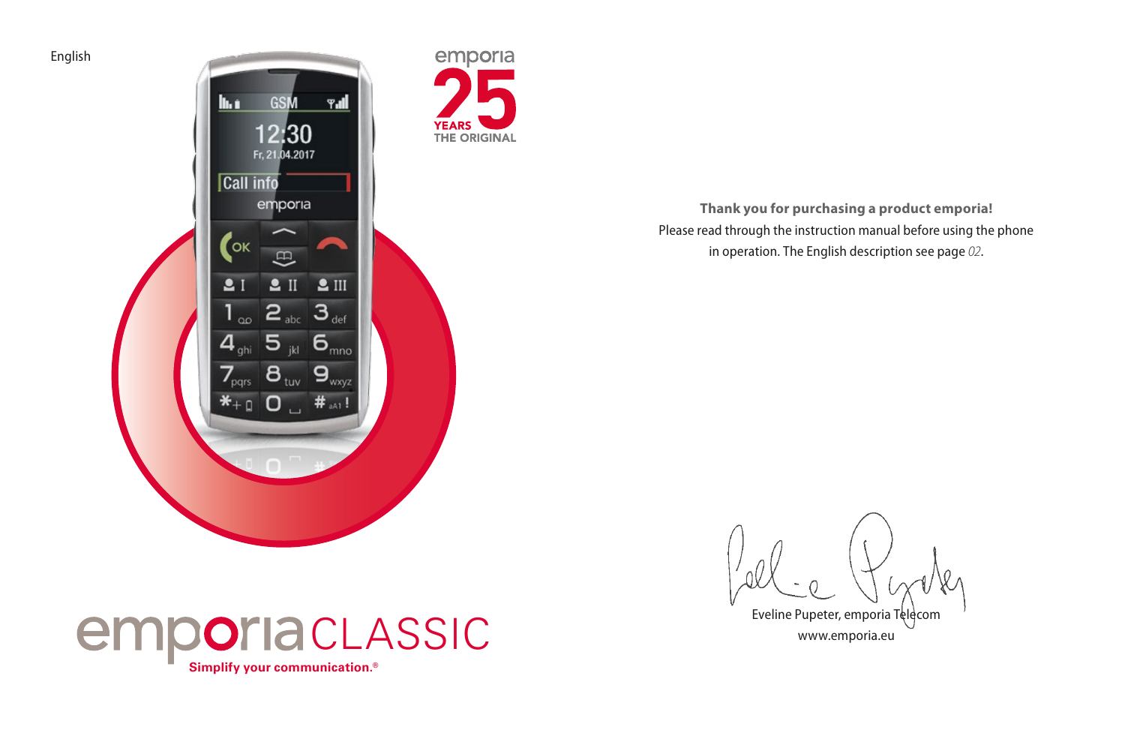

**Thank you for purchasing a product emporia!** Please read through the instruction manual before using the phone in operation. The English description see page *[02](#page-1-0)*.



English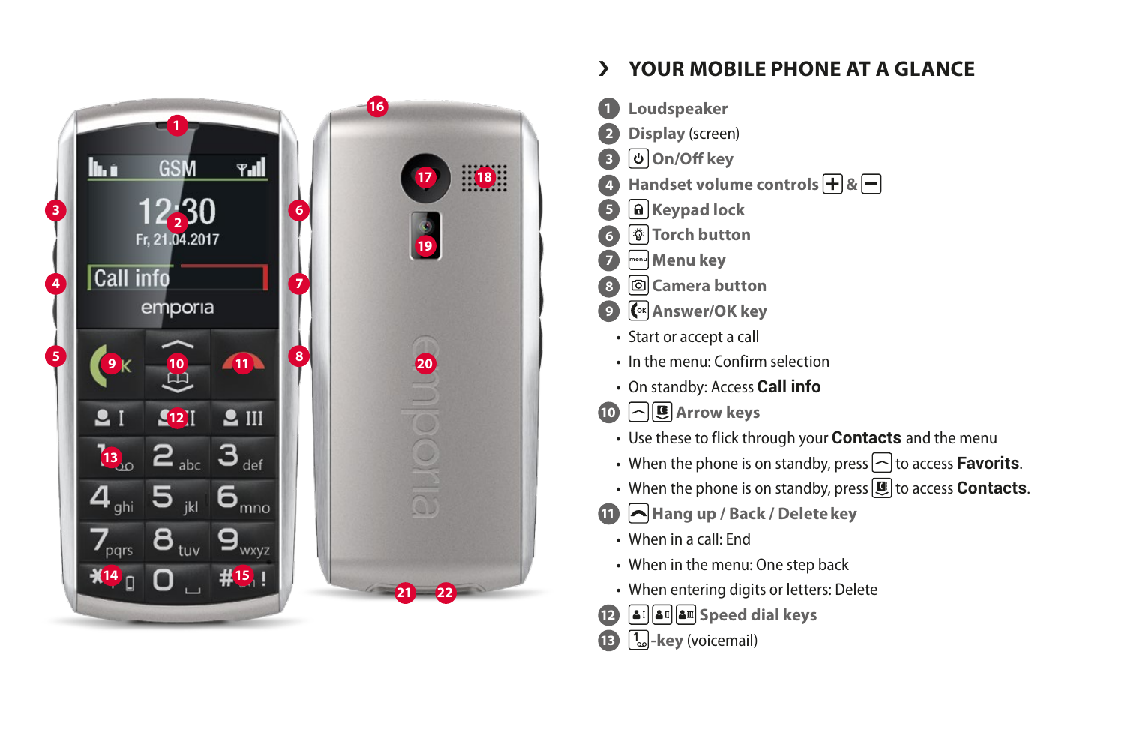

# <span id="page-1-0"></span>› **YOUR MOBILE PHONE AT A GLANCE**

- **1 Loudspeaker**
- **2 Display** (screen)
- **3 On/Off key**
- **Handset volume controls**  $\overline{+}$  **&**  $\overline{-}$
- **5 Keypad lock**
- **6 Torch button**
- **7 menu Menu key**
- **8 Camera button**
- **9 Gx Answer/OK key**
- Start or accept a call
- In the menu: Confirm selection
- On standby: Access **Call info**
- **10 Arrow keys** 
	- Use these to flick through your **Contacts** and the menu
	- When the phone is on standby, press  $\sim$  to access **Favorits**.
	- When the phone is on standby, press **U** to access **Contacts**.
- **11** A Hang up / Back / Delete key
	- When in a call: End
	- When in the menu: One step back
	- When entering digits or letters: Delete
- **12 Speed dial keys**
- **13 <sup>1</sup> -key** (voicemail)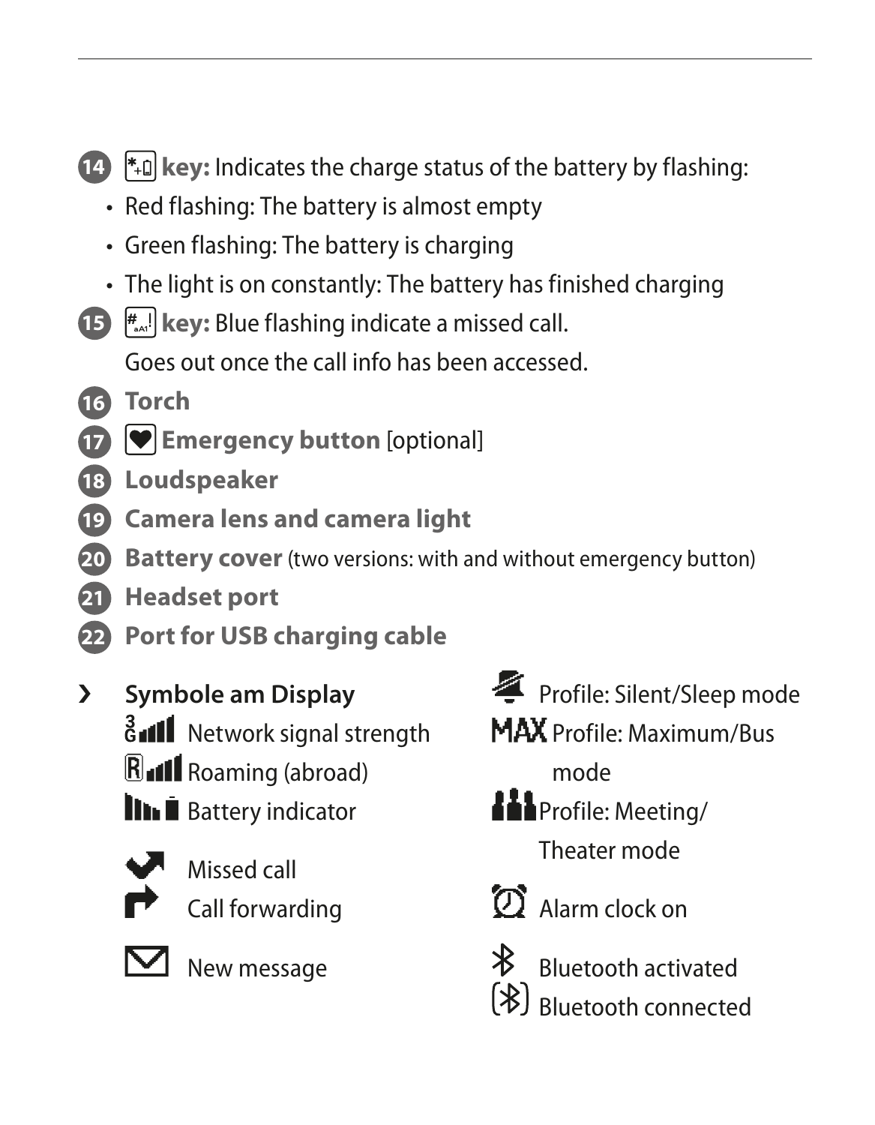**14**  $\uparrow$  **14**  $\uparrow$  **key:** Indicates the charge status of the battery by flashing:

- Red flashing: The battery is almost empty
- Green flashing: The battery is charging
- The light is on constantly: The battery has finished charging
- **15 #**...<sup>1</sup> **key:** Blue flashing indicate a missed call. Goes out once the call info has been accessed.
- **16 Torch**
- **17 Emergency button** [optional]
- **18 Loudspeaker**
- **19 Camera lens and camera light**
- **20 Battery cover** (two versions: with and without emergency button)
- **21 Headset port**
- **22 Port for USB charging cable**
- › **Symbole am Display**
	- **B**<sub>d</sub>II Network signal strength
	- **R**<sub>d</sub>II Roaming (abroad)
	- **III E** Battery indicator



Missed call Call forwarding



New message

- Profile: Silent/Sleep mode
- MAX Profile: Maximum/Bus
	- mode
- **Hil**Profile: Meeting/ Theater mode
- 

Alarm clock on



Bluetooth activated <sup>[</sup><sup>8</sup>] Rluetooth connected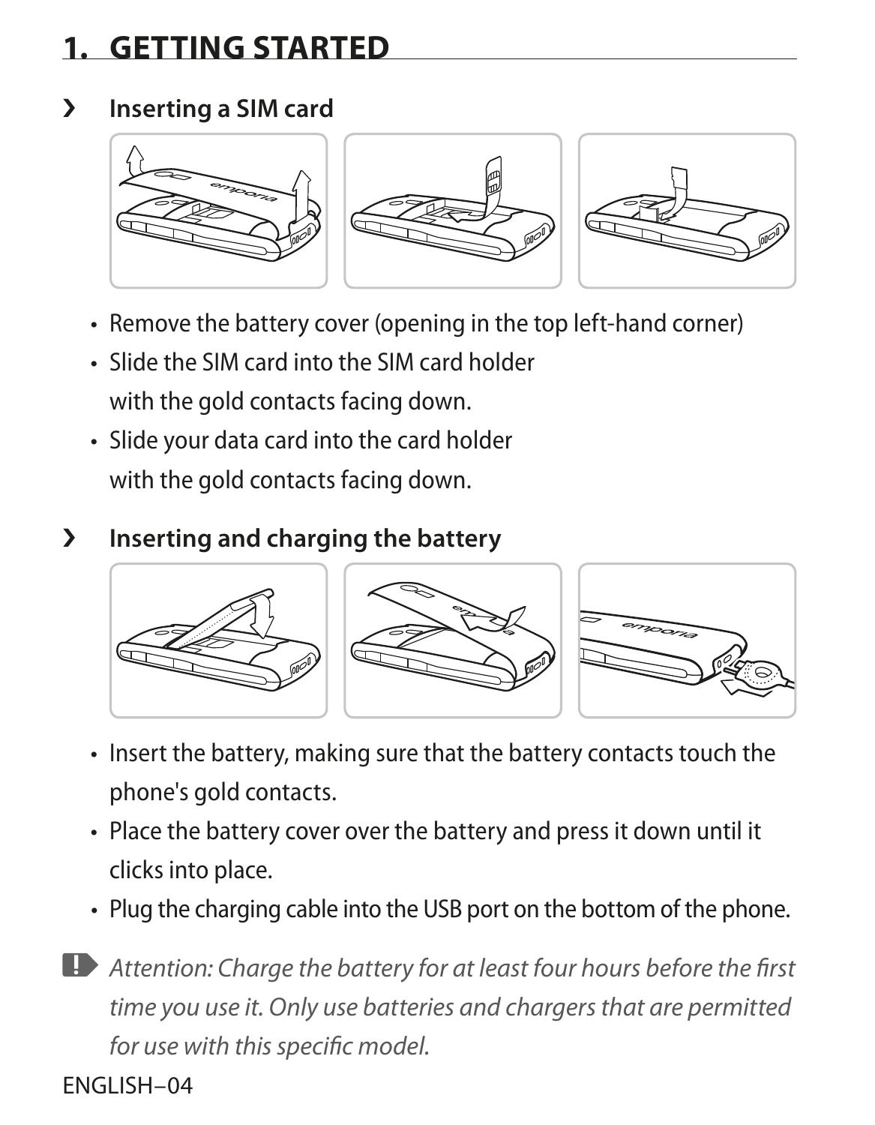# **1. GETTING STARTED**

#### › **Inserting a SIM card**



- Remove the battery cover (opening in the top left-hand corner)
- Slide the SIM card into the SIM card holder with the gold contacts facing down.
- Slide your data card into the card holder with the gold contacts facing down.

## › **Inserting and charging the battery**



- Insert the battery, making sure that the battery contacts touch the phone's gold contacts.
- Place the battery cover over the battery and press it down until it clicks into place.
- Plug the charging cable into the USB port on the bottom of the phone.

*Attention: Charge the battery for at least four hours before the first time you use it. Only use batteries and chargers that are permitted for use with this specific model.*

ENGLISH–04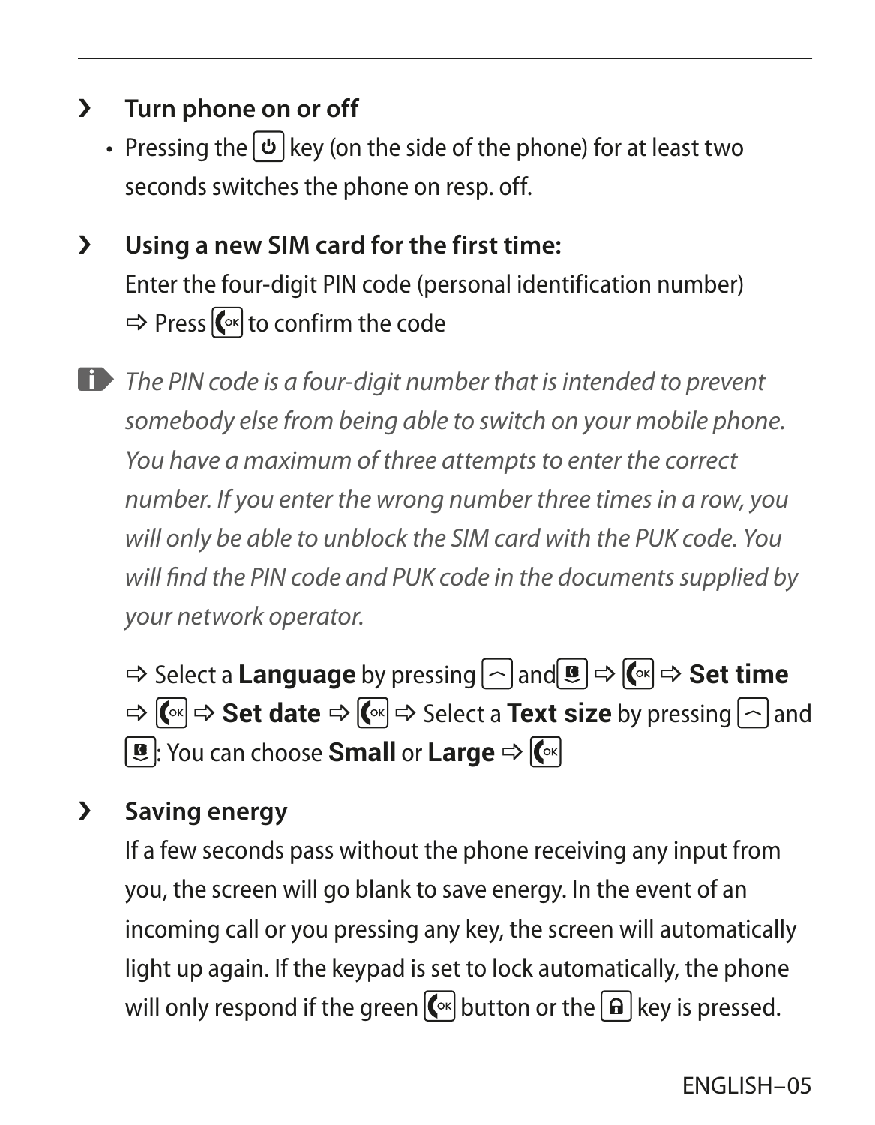- › **Turn phone on or off**
	- Pressing the  $\Theta$  key (on the side of the phone) for at least two seconds switches the phone on resp. off.
- › **Using a new SIM card for the first time:** Enter the four-digit PIN code (personal identification number)  $\Rightarrow$  Press  $\left(\sqrt{\ }$  to confirm the code
- *The PIN code is a four-digit number that is intended to prevent somebody else from being able to switch on your mobile phone. You have a maximum of three attempts to enter the correct number. If you enter the wrong number three times in a row, you will only be able to unblock the SIM card with the PUK code. You will find the PIN code and PUK code in the documents supplied by your network operator.*

 $\Rightarrow$  Select a **Language** by pressing and **a**  $\Rightarrow$   $\mathbb{C}^{\times}$   $\Rightarrow$  **Set time**  $\Rightarrow$  **(** $\&$   $\Rightarrow$  **Set date**  $\Rightarrow$  **(** $\&$   $\Rightarrow$  Select a **Text size** by pressing  $\frown$  and **E**: You can choose **Small** or **Large**  $\Rightarrow$   $\left[\begin{matrix} \circledast \end{matrix}\right]$ 

## › **Saving energy**

If a few seconds pass without the phone receiving any input from you, the screen will go blank to save energy. In the event of an incoming call or you pressing any key, the screen will automatically light up again. If the keypad is set to lock automatically, the phone will only respond if the green  $\left( \infty \right]$  button or the  $\left[ \frac{1}{2} \right]$  key is pressed.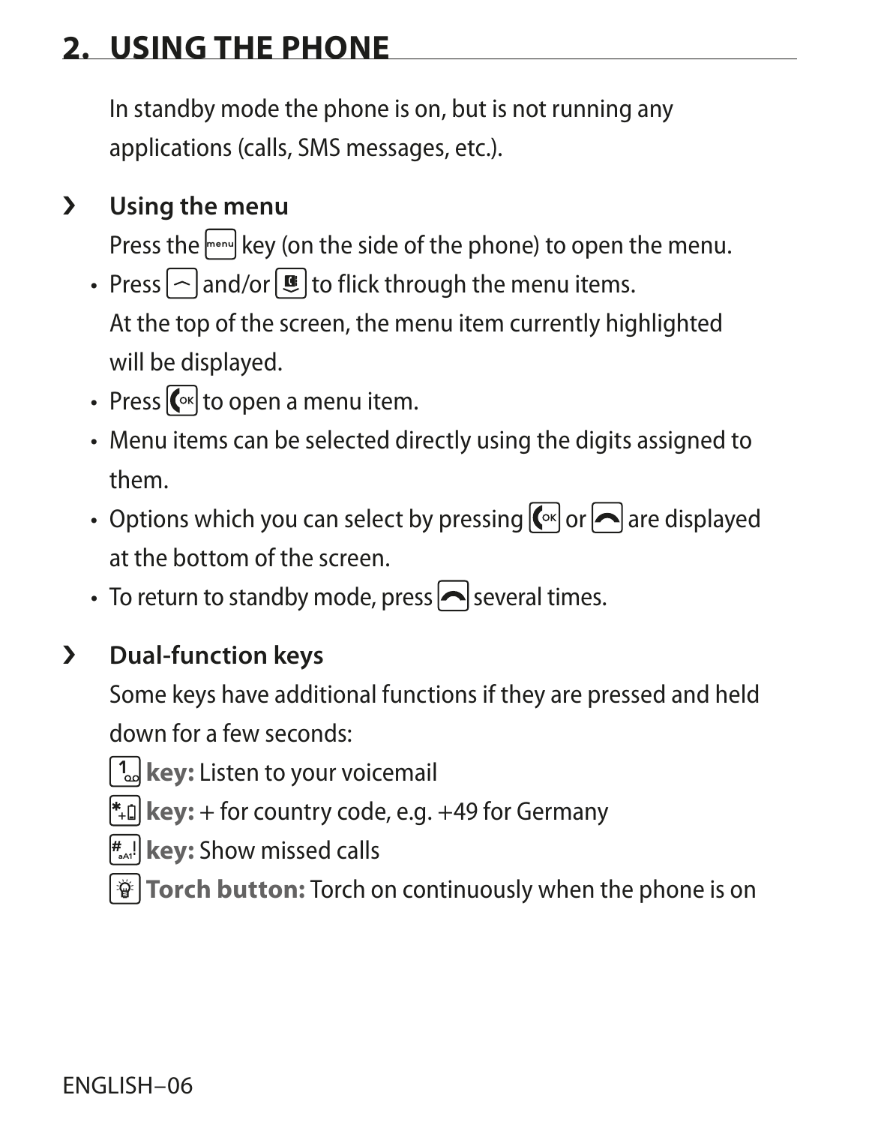# **2. USING THE PHONE**

In standby mode the phone is on, but is not running any applications (calls, SMS messages, etc.).

## › **Using the menu**

Press the menu. Key (on the side of the phone) to open the menu.

- Press  $\log$  and/or  $\mathbf{E}$  to flick through the menu items. At the top of the screen, the menu item currently highlighted will be displayed.
- Press  $\left[\begin{matrix} \infty \\ 0 \end{matrix}\right]$  to open a menu item.
- Menu items can be selected directly using the digits assigned to them.
- Options which you can select by pressing  $\left[\bigcirc\right]$  or  $\left[\bigcirc\right]$  are displayed at the bottom of the screen.
- To return to standby mode, press  $\left| \bullet \right|$  several times.

## › **Dual-function keys**

Some keys have additional functions if they are pressed and held down for a few seconds:

**1**<sup>2</sup>/<sub>2</sub> key: Listen to your voicemail

 $*$ **a** key: + for country code, e.g. +49 for Germany

**# aA1**! **key:** Show missed calls

**Forch button:** Torch on continuously when the phone is on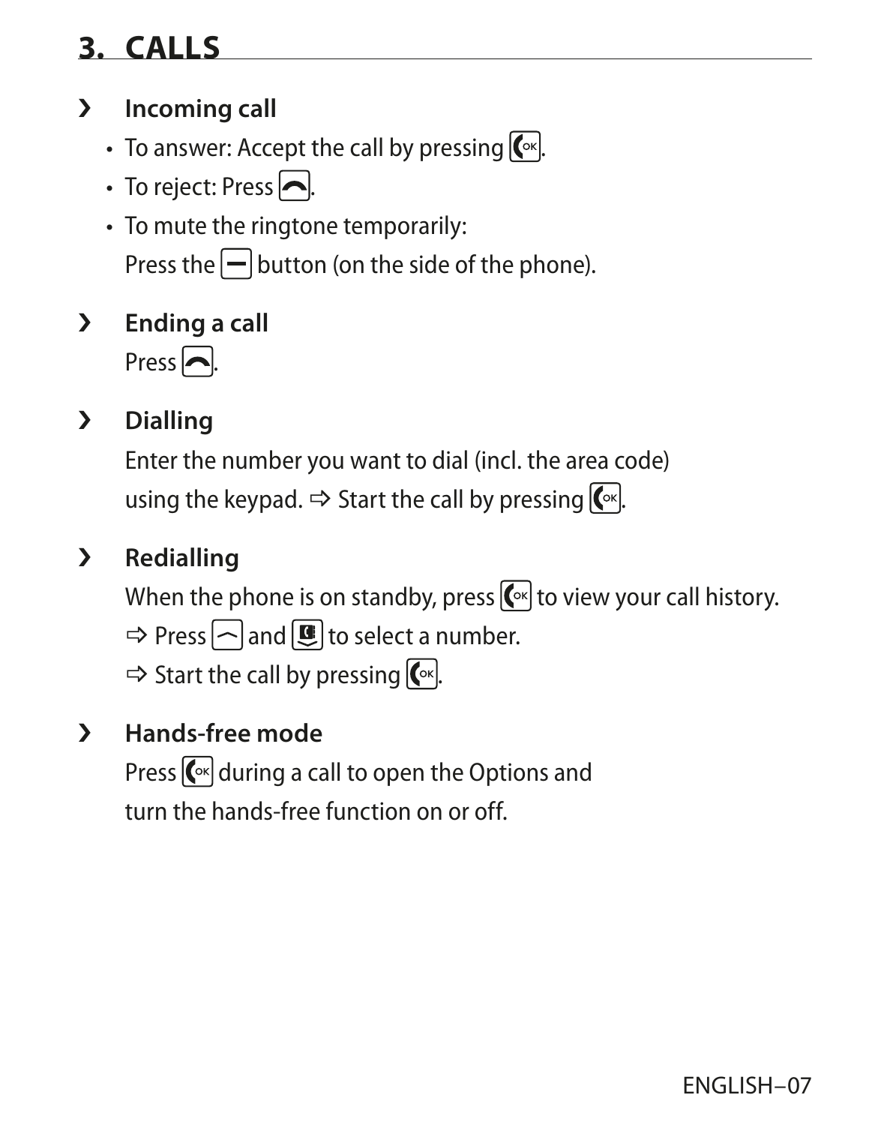# **3. CALLS**

## › **Incoming call**

- To answer: Accept the call by pressing  $\lceil \cdot \rceil$ .
- To reject: Press  $\blacksquare$ .
- To mute the ringtone temporarily: Press the  $\Box$  button (on the side of the phone).
- › **Ending a call**

Press  $\overline{\phantom{a}}$ .

## › **Dialling**

Enter the number you want to dial (incl. the area code) using the keypad.  $\Rightarrow$  Start the call by pressing  $\boxed{\infty}$ .

## › **Redialling**

When the phone is on standby, press  $\lbrack \leftarrow \rbrack$  to view your call history.

 $\Rightarrow$  Press  $\cap$  and  $\Box$  to select a number.

 $\Rightarrow$  Start the call by pressing  $\boxed{\infty}$ .

## › **Hands-free mode**

Press  $\left[\begin{matrix} \infty \\ 0 \end{matrix}\right]$  during a call to open the Options and turn the hands-free function on or off.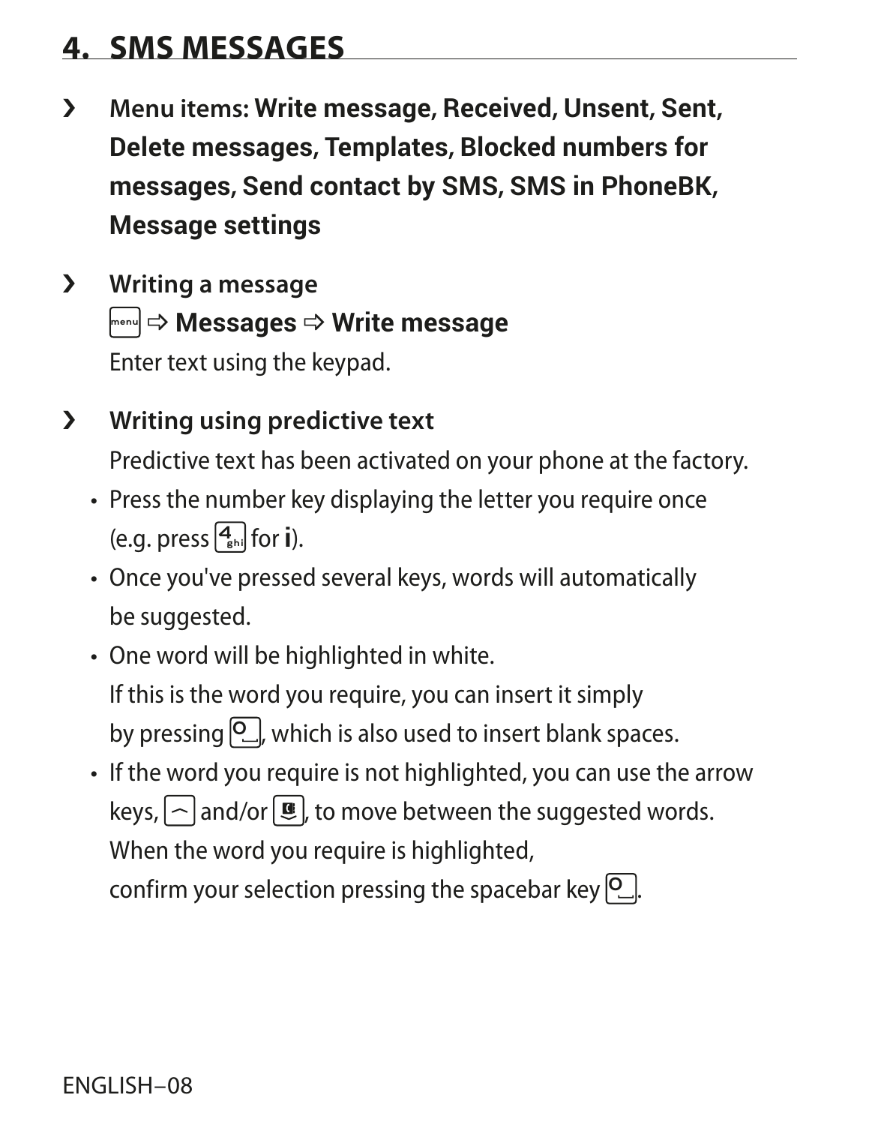## **4. SMS MESSAGES**

- › **Menu items: Write message, Received, Unsent, Sent, Delete messages, Templates, Blocked numbers for messages, Send contact by SMS, SMS in PhoneBK, Message settings**
- › **Writing a message**  $\boxed{\mathbb{R}^{\mathsf{m}}\times\mathsf{M}}$  **Messages**  $\Rightarrow$  Write message Enter text using the keypad.
- › **Writing using predictive text** Predictive text has been activated on your phone at the factory.
	- Press the number key displaying the letter you require once (e.g. press  $\boxed{4}_{\text{shil}}$  for **i**).
	- Once you've pressed several keys, words will automatically be suggested.
	- One word will be highlighted in white. If this is the word you require, you can insert it simply by pressing  $\boxed{0}$ , which is also used to insert blank spaces.
	- If the word you require is not highlighted, you can use the arrow keys,  $\lceil \frown \rceil$  and/or  $\lceil \rceil$ , to move between the suggested words. When the word you require is highlighted, confirm your selection pressing the spacebar key <sup>[O ..</sup>.].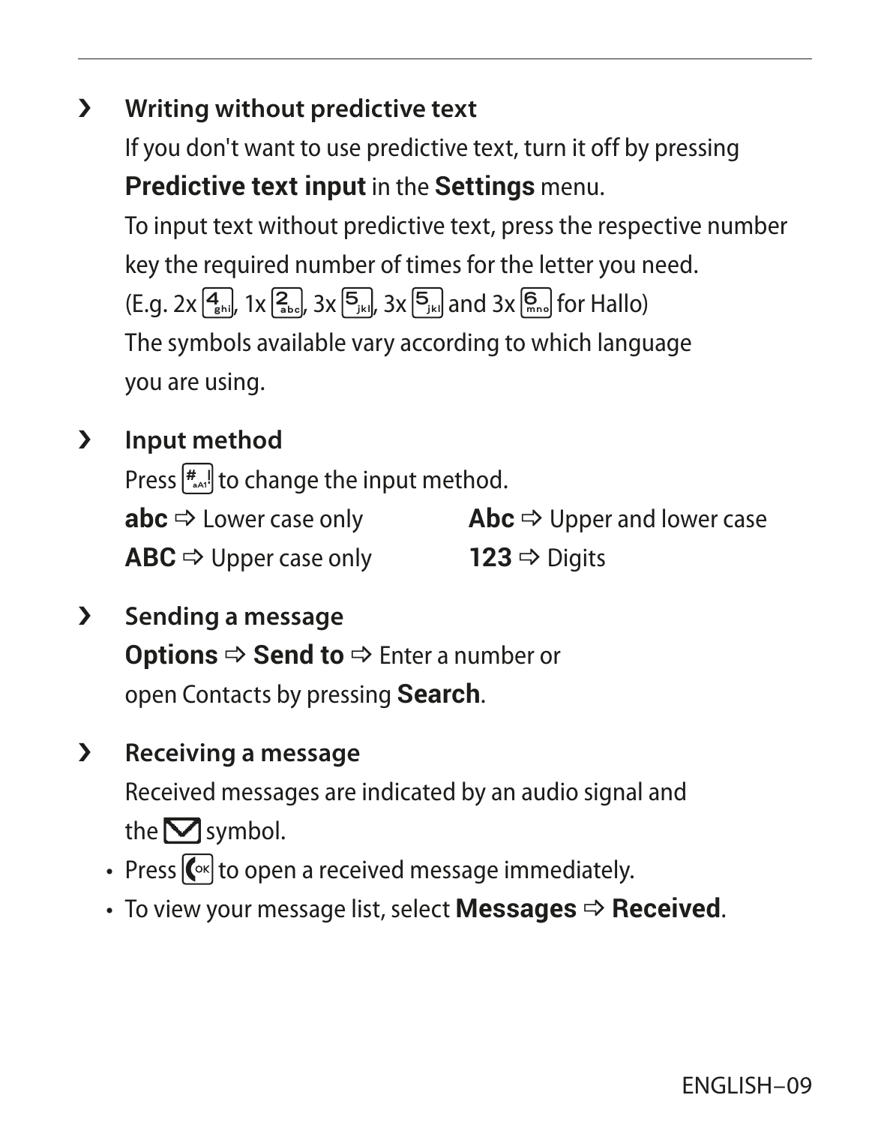## › **Writing without predictive text**

If you don't want to use predictive text, turn it off by pressing **Predictive text input** in the **Settings** menu.

To input text without predictive text, press the respective number key the required number of times for the letter you need. (E.g. 2x **4ghi** , 1x **2abc** , 3x **5jkl** , 3x **5jkl** and 3x **<sup>6</sup> mno** for Hallo) The symbols available vary according to which language you are using.

› **Input method**

Press **# aA1**! to change the input method. **abc**  $\Rightarrow$  Lower case only  $ABC \Rightarrow$  Upper case only  $\mathsf{A}$ **bc**  $\Rightarrow$  Upper and lower case 123  $\Rightarrow$  Digits

- › **Sending a message Options**  $\Rightarrow$  **Send to**  $\Rightarrow$  Enter a number or open Contacts by pressing **Search**.
- › **Receiving a message** Received messages are indicated by an audio signal and the  $\nabla$  symbol.
	- Press  $\left[\overline{\mathbb{C}}\right]$  to open a received message immediately.
	- $\cdot$  To view your message list, select **Messages**  $\Rightarrow$  **Received**.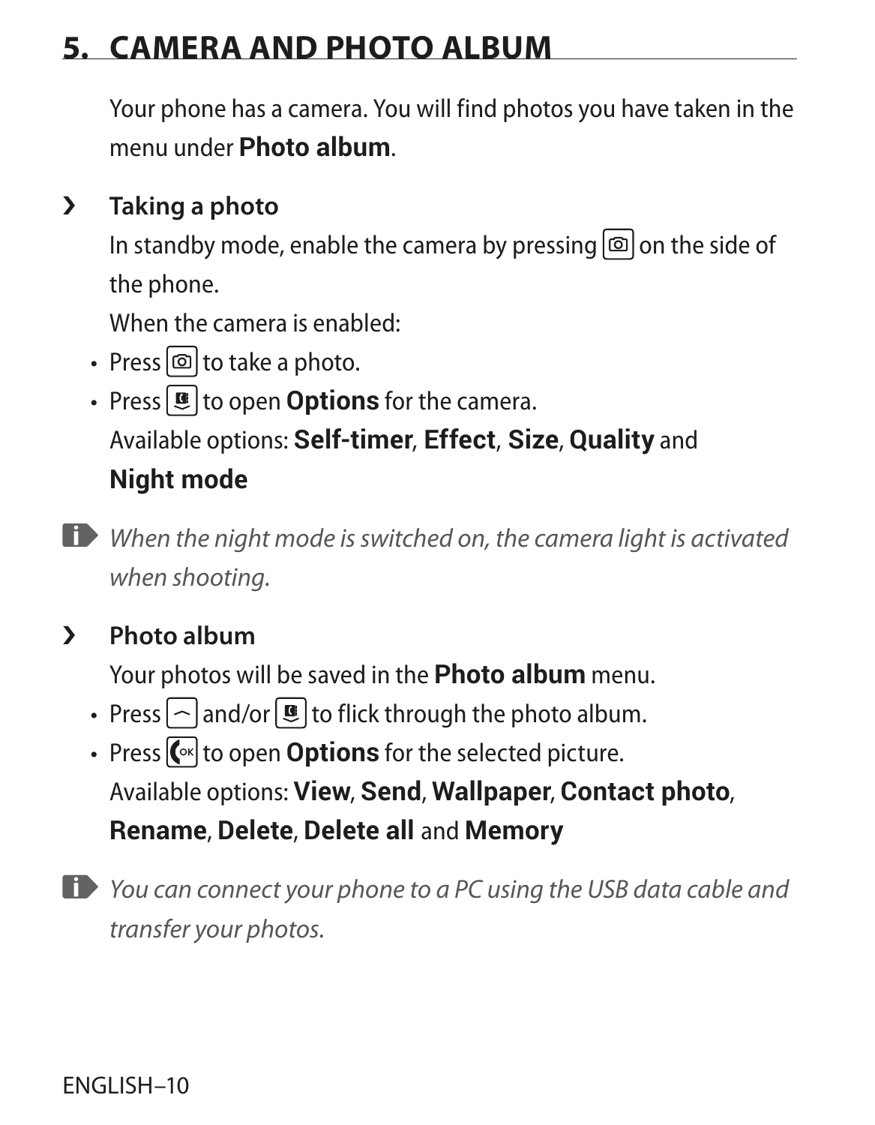## **5. CAMERA AND PHOTO ALBUM**

Your phone has a camera. You will find photos you have taken in the menu under **Photo album**.

## › **Taking a photo**

In standby mode, enable the camera by pressing  $\boxed{\circledcirc}$  on the side of the phone.

When the camera is enabled:

- Press  $\textcircled{a}$  to take a photo.
- Press  $\left[\mathbf{E}\right]$  to open **Options** for the camera. Available options: **Self-timer**, **Effect**, **Size**, **Quality** and **Night mode**
- *When the night mode is switched on, the camera light is activated when shooting.*

## › **Photo album**

Your photos will be saved in the **Photo album** menu.

- Press  $\lceil \widehat{\neg} \rceil$  and/or  $\lceil \frac{\mathbf{G}}{2} \rceil$  to flick through the photo album.
- Press  $\left[\text{C}\right]$  to open **Options** for the selected picture. Available options: **View**, **Send**, **Wallpaper**, **Contact photo**, **Rename**, **Delete**, **Delete all** and **Memory**
- *You can connect your phone to a PC using the USB data cable and transfer your photos.*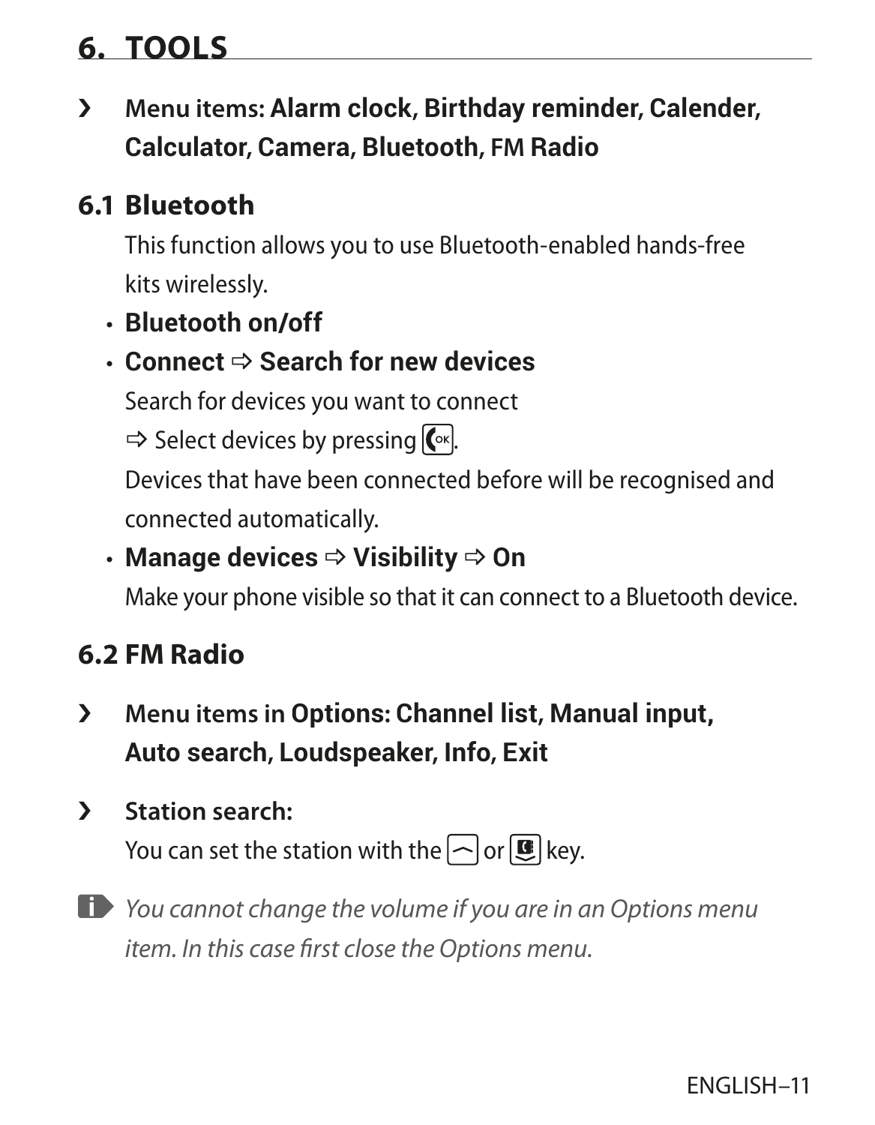## **6. TOOLS**

› **Menu items: Alarm clock, Birthday reminder, Calender, Calculator, Camera, Bluetooth, FM Radio**

## **6.1 Bluetooth**

This function allows you to use Bluetooth-enabled hands-free kits wirelessly.

• **Bluetooth on/off**

## **• Connect**  $⇒$  **Search for new devices**

Search for devices you want to connect

 $\Rightarrow$  Select devices by pressing  $\left[\infty\right]$ .

Devices that have been connected before will be recognised and connected automatically.

## **• Manage devices**  $\Rightarrow$  **Visibility**  $\Rightarrow$  **On**

Make your phone visible so that it can connect to a Bluetooth device.

## **6.2 FM Radio**

- › **Menu items in Options: Channel list, Manual input, Auto search, Loudspeaker, Info, Exit**
- › **Station search:**

You can set the station with the  $\log$  or  $\mathbf{E}$  key.

*You cannot change the volume if you are in an Options menu item. In this case first close the Options menu.*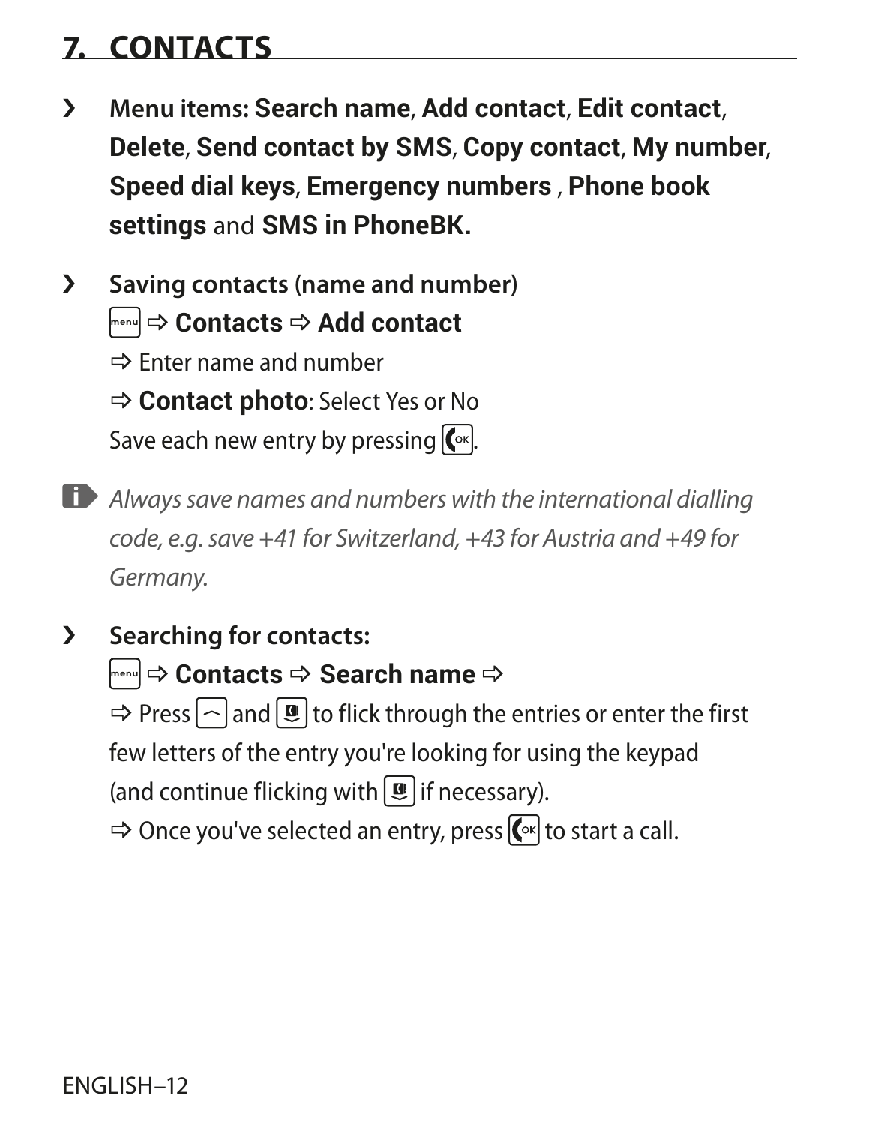# **7. CONTACTS**

- › **Menu items: Search name**, **Add contact**, **Edit contact**, **Delete**, **Send contact by SMS**, **Copy contact**, **My number**, **Speed dial keys**, **Emergency numbers** , **Phone book settings** and **SMS in PhoneBK.**
- › **Saving contacts (name and number) Fenu**  $\Rightarrow$  **Contacts**  $\Rightarrow$  **Add contact**  $\Rightarrow$  Enter name and number \_ **Contact photo**: Select Yes or No Save each new entry by pressing  $\left[\nabla x\right]$ .
- *Always save names and numbers with the international dialling code, e.g. save +41 for Switzerland, +43 for Austria and +49 for Germany.*
- › **Searching for contacts: Fenu**  $\Rightarrow$  Contacts  $\Rightarrow$  Search name  $\Rightarrow$  $\Rightarrow$  Press  $\log$  and  $\left[\frac{1}{2}\right]$  to flick through the entries or enter the first few letters of the entry you're looking for using the keypad (and continue flicking with  $\boxed{\mathbf{E}}$  if necessary).

 $\Rightarrow$  Once you've selected an entry, press  $\left[\begin{matrix} \infty \\ 0 \end{matrix}\right]$  to start a call.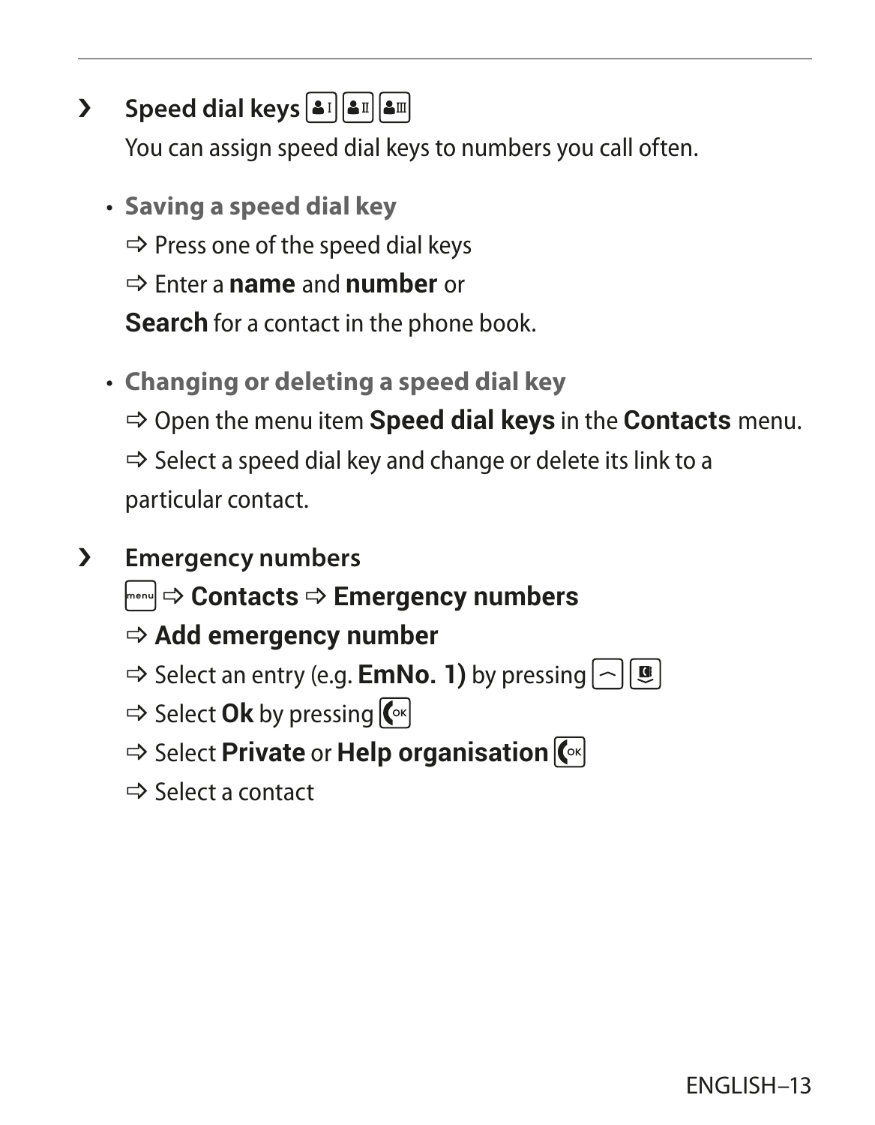## › **Speed dial keys**

You can assign speed dial keys to numbers you call often.

- **Saving a speed dial key**
	- $\Rightarrow$  Press one of the speed dial keys
	- \_ Enter a **name** and **number** or

**Search** for a contact in the phone book.

- **Changing or deleting a speed dial key** \_ Open the menu item **Speed dial keys** in the **Contacts** menu.  $\Rightarrow$  Select a speed dial key and change or delete its link to a particular contact.
- › **Emergency numbers**
	- **Frenu**  $\Rightarrow$  **Contacts**  $\Rightarrow$  **Emergency numbers**
	- $\Rightarrow$  **Add emergency number**
	- $\Rightarrow$  Select an entry (e.g. **EmNo. 1)** by pressing  $\left| \sim \right|$  **e**
	- $\Rightarrow$  Select **Ok** by pressing  $\left[\begin{matrix} \infty \\ 1 \end{matrix}\right]$
	- $\Rightarrow$  **Select Private or Help organisation**  $\left(\infty\right)$
	- $\Rightarrow$  Select a contact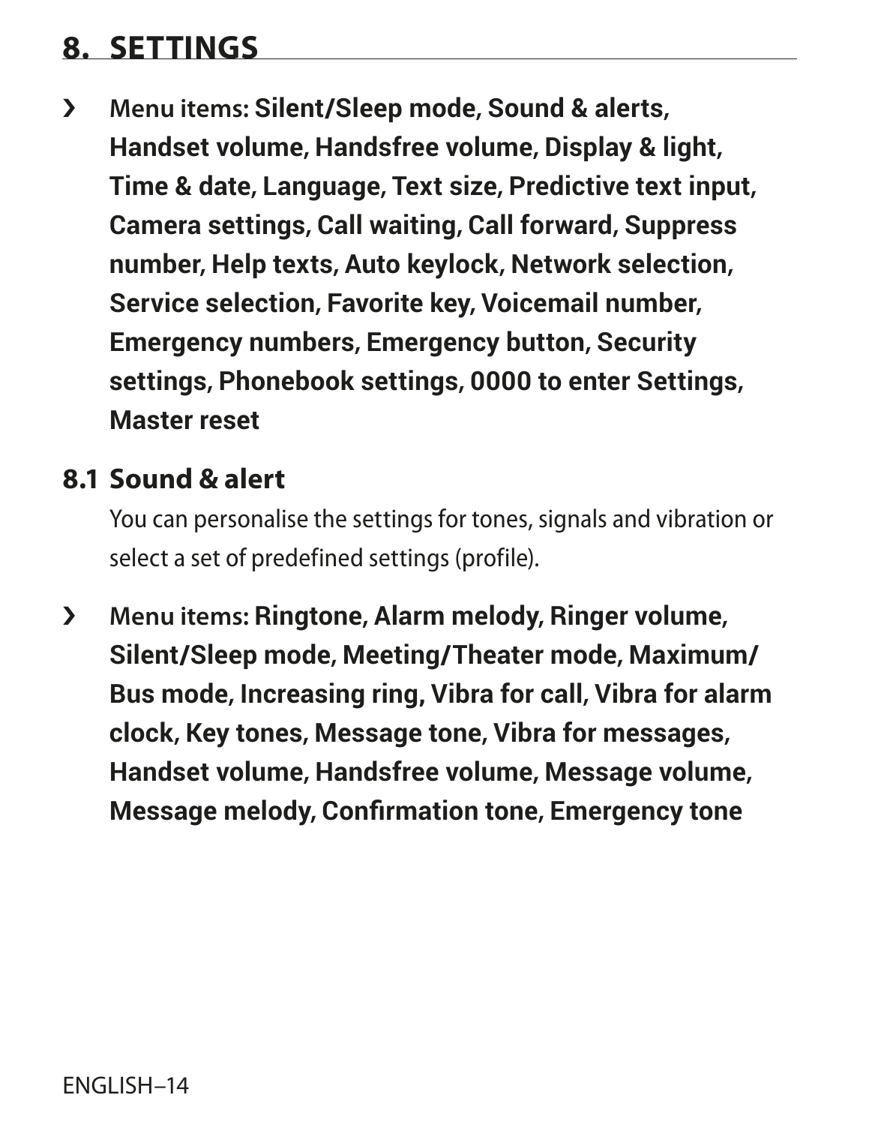## **8. SETTINGS**

› **Menu items: Silent/Sleep mode, Sound & alerts, Handset volume, Handsfree volume, Display & light, Time & date, Language, Text size, Predictive text input, Camera settings, Call waiting, Call forward, Suppress number, Help texts, Auto keylock, Network selection, Service selection, Favorite key, Voicemail number, Emergency numbers, Emergency button, Security settings, Phonebook settings, 0000 to enter Settings, Master reset**

## **8.1 Sound & alert**

You can personalise the settings for tones, signals and vibration or select a set of predefined settings (profile).

› **Menu items: Ringtone, Alarm melody, Ringer volume, Silent/Sleep mode, Meeting/Theater mode, Maximum/ Bus mode, Increasing ring, Vibra for call, Vibra for alarm clock, Key tones, Message tone, Vibra for messages, Handset volume, Handsfree volume, Message volume, Message melody, Confirmation tone, Emergency tone**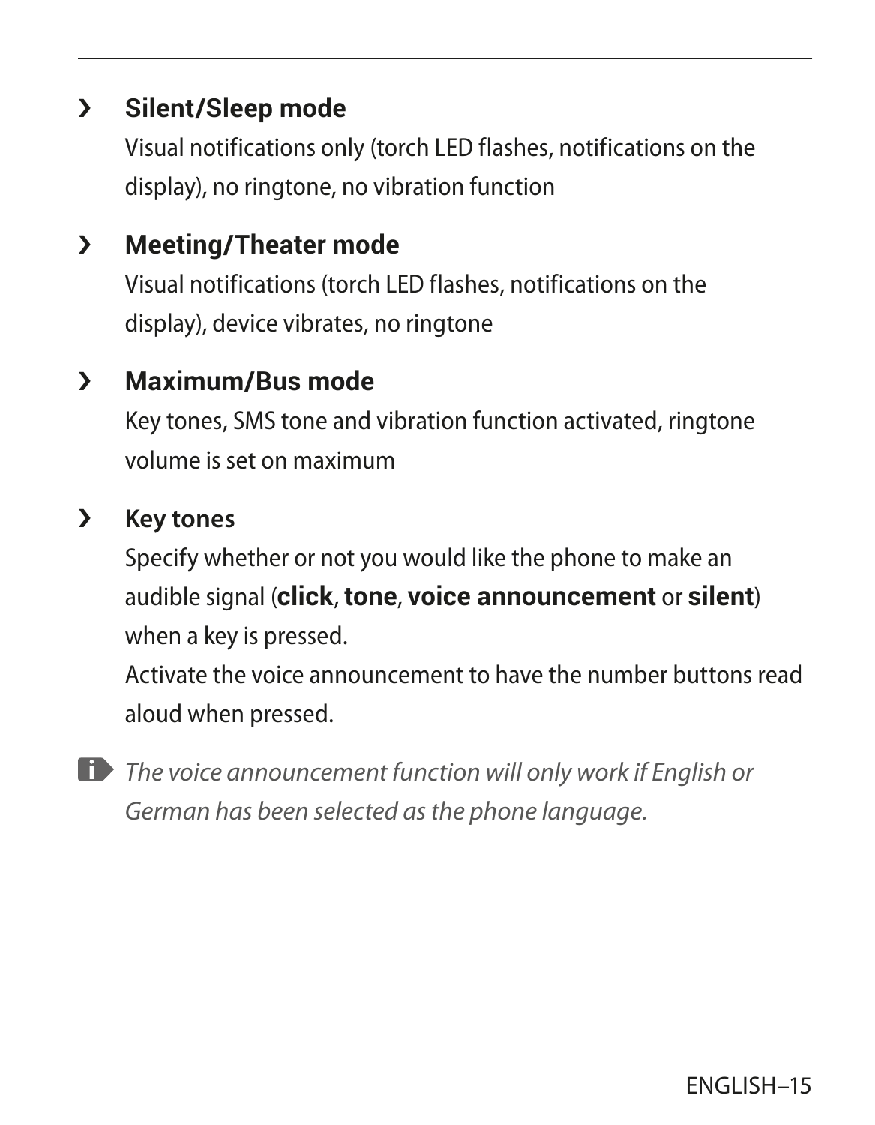## › **Silent/Sleep mode**

Visual notifications only (torch LED flashes, notifications on the display), no ringtone, no vibration function

## › **Meeting/Theater mode**

Visual notifications (torch LED flashes, notifications on the display), device vibrates, no ringtone

## › **Maximum/Bus mode**

Key tones, SMS tone and vibration function activated, ringtone volume is set on maximum

#### › **Key tones**

Specify whether or not you would like the phone to make an audible signal (**click**, **tone**, **voice announcement** or **silent**) when a key is pressed.

Activate the voice announcement to have the number buttons read aloud when pressed.

*The voice announcement function will only work if English or German has been selected as the phone language.*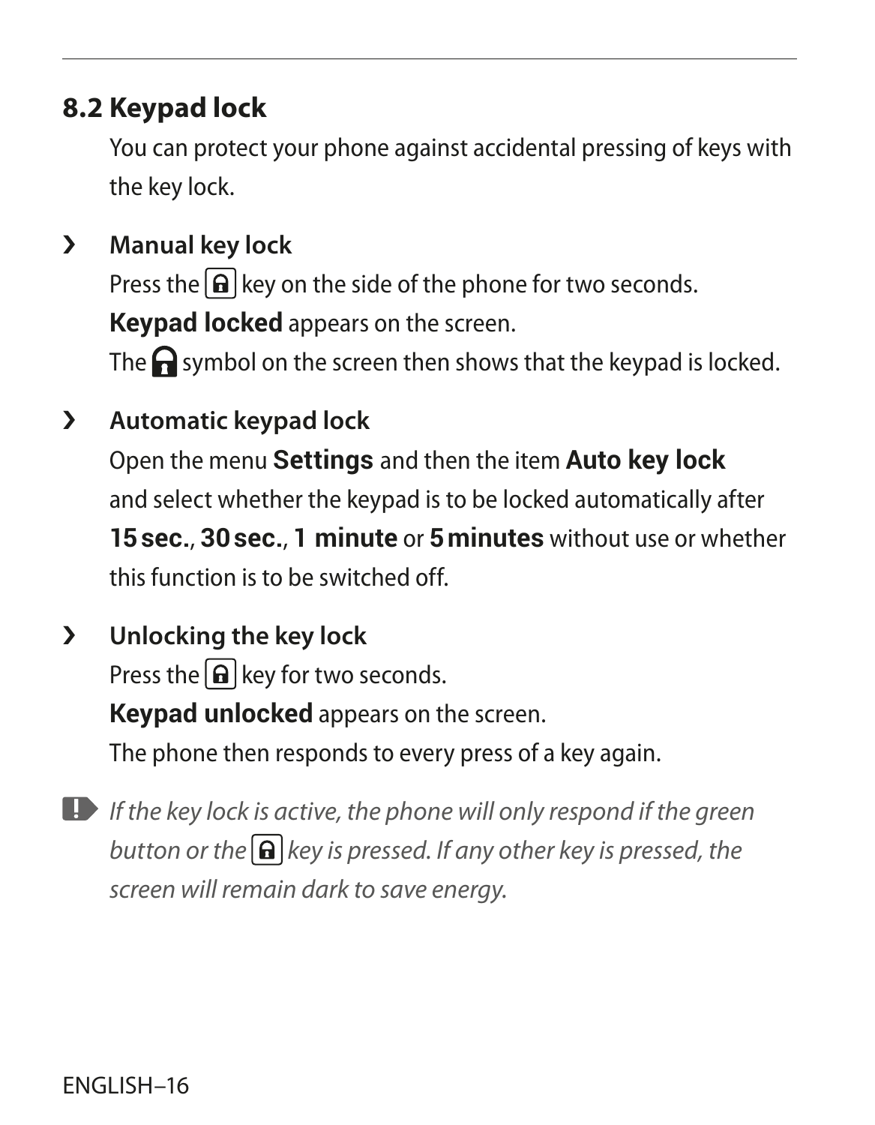## **8.2 Keypad lock**

You can protect your phone against accidental pressing of keys with the key lock.

- › **Manual key lock** Press the  $\left[\widehat{\mathbf{a}}\right]$  key on the side of the phone for two seconds. **Keypad locked** appears on the screen. The  $\bigcap$  symbol on the screen then shows that the keypad is locked.
- › **Automatic keypad lock**

Open the menu **Settings** and then the item **Auto key lock** and select whether the keypad is to be locked automatically after **15sec.**, **30sec.**, **1 minute** or **5minutes** without use or whether this function is to be switched off.

- › **Unlocking the key lock** Press the  $\left[\widehat{\mathbf{h}}\right]$  key for two seconds. **Keypad unlocked** appears on the screen. The phone then responds to every press of a key again.
- *If the key lock is active, the phone will only respond if the green button or the*  $\bigcap$  *key is pressed. If any other key is pressed, the screen will remain dark to save energy.*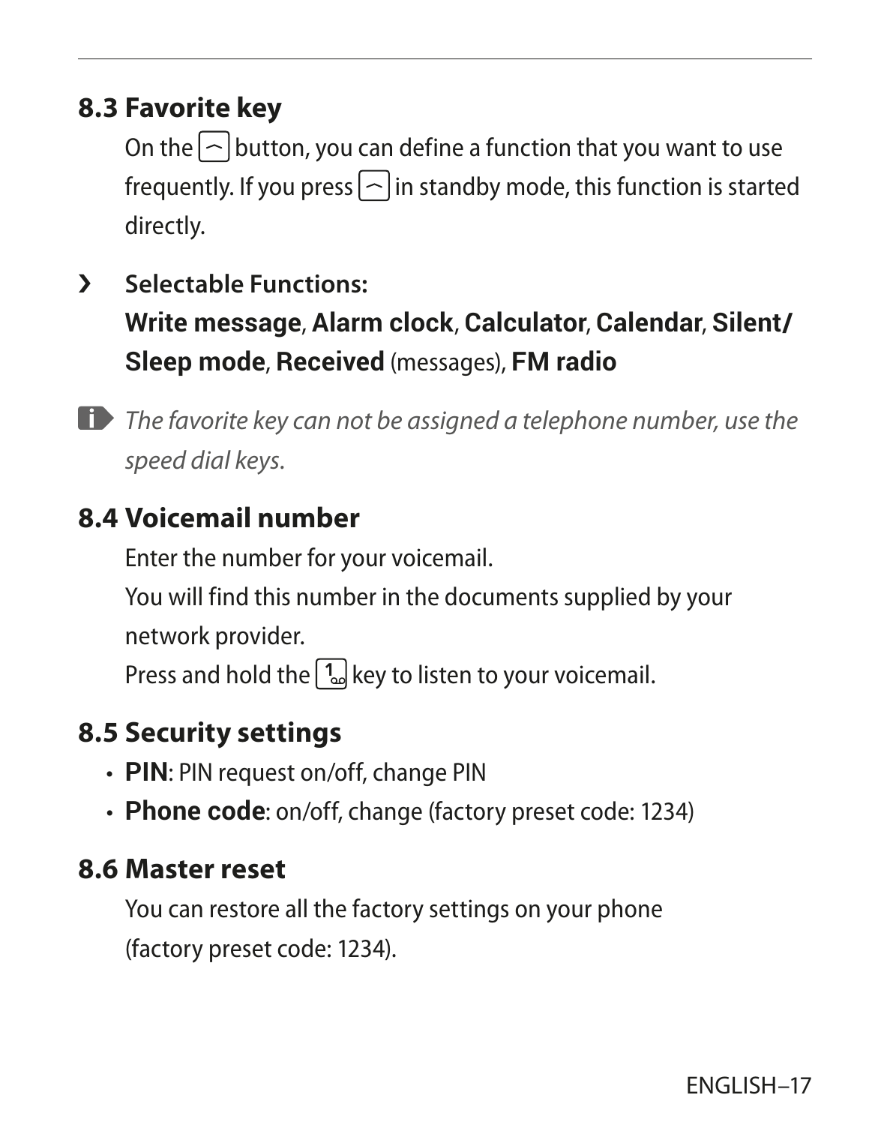## **8.3 Favorite key**

On the  $\log$  button, you can define a function that you want to use frequently. If you press  $\lceil \widehat{\ }}$  in standby mode, this function is started directly.

- › **Selectable Functions: Write message**, **Alarm clock**, **Calculator**, **Calendar**, **Silent/ Sleep mode**, **Received** (messages), **FM radio**
- *The favorite key can not be assigned a telephone number, use the speed dial keys.*

## **8.4 Voicemail number**

Enter the number for your voicemail.

You will find this number in the documents supplied by your network provider.

Press and hold the  $\left(\frac{1}{2}\right)$  key to listen to your voicemail.

## **8.5 Security settings**

- **PIN**: PIN request on/off, change PIN
- **Phone code**: on/off, change (factory preset code: 1234)

#### **8.6 Master reset**

You can restore all the factory settings on your phone (factory preset code: 1234).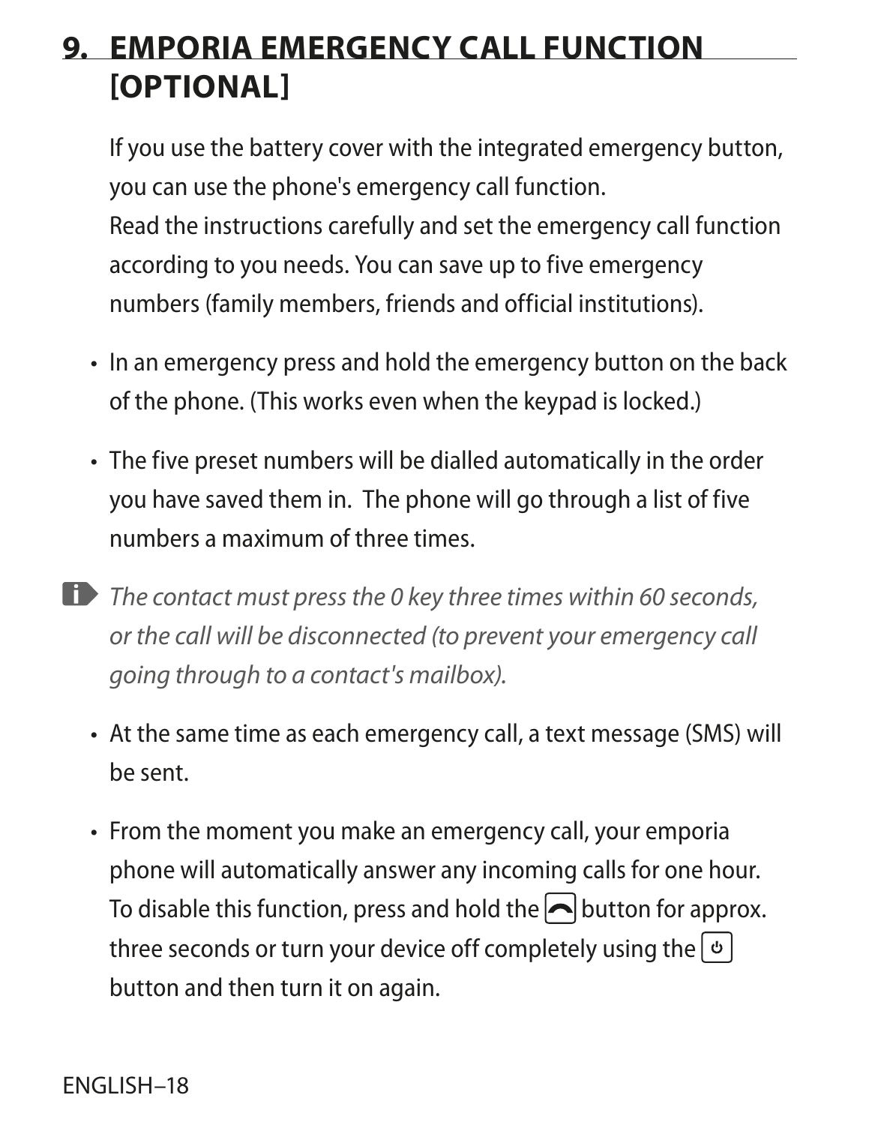## **9. EMPORIA EMERGENCY CALL FUNCTION [OPTIONAL]**

If you use the battery cover with the integrated emergency button, you can use the phone's emergency call function. Read the instructions carefully and set the emergency call function according to you needs. You can save up to five emergency numbers (family members, friends and official institutions).

- In an emergency press and hold the emergency button on the back of the phone. (This works even when the keypad is locked.)
- The five preset numbers will be dialled automatically in the order you have saved them in. The phone will go through a list of five numbers a maximum of three times.
- *The contact must press the 0 key three times within 60 seconds, or the call will be disconnected (to prevent your emergency call going through to a contact's mailbox).*
	- At the same time as each emergency call, a text message (SMS) will be sent.
	- From the moment you make an emergency call, your emporia phone will automatically answer any incoming calls for one hour. To disable this function, press and hold the  $\bigcap$  button for approx. three seconds or turn your device off completely using the  $|\phi|$ button and then turn it on again.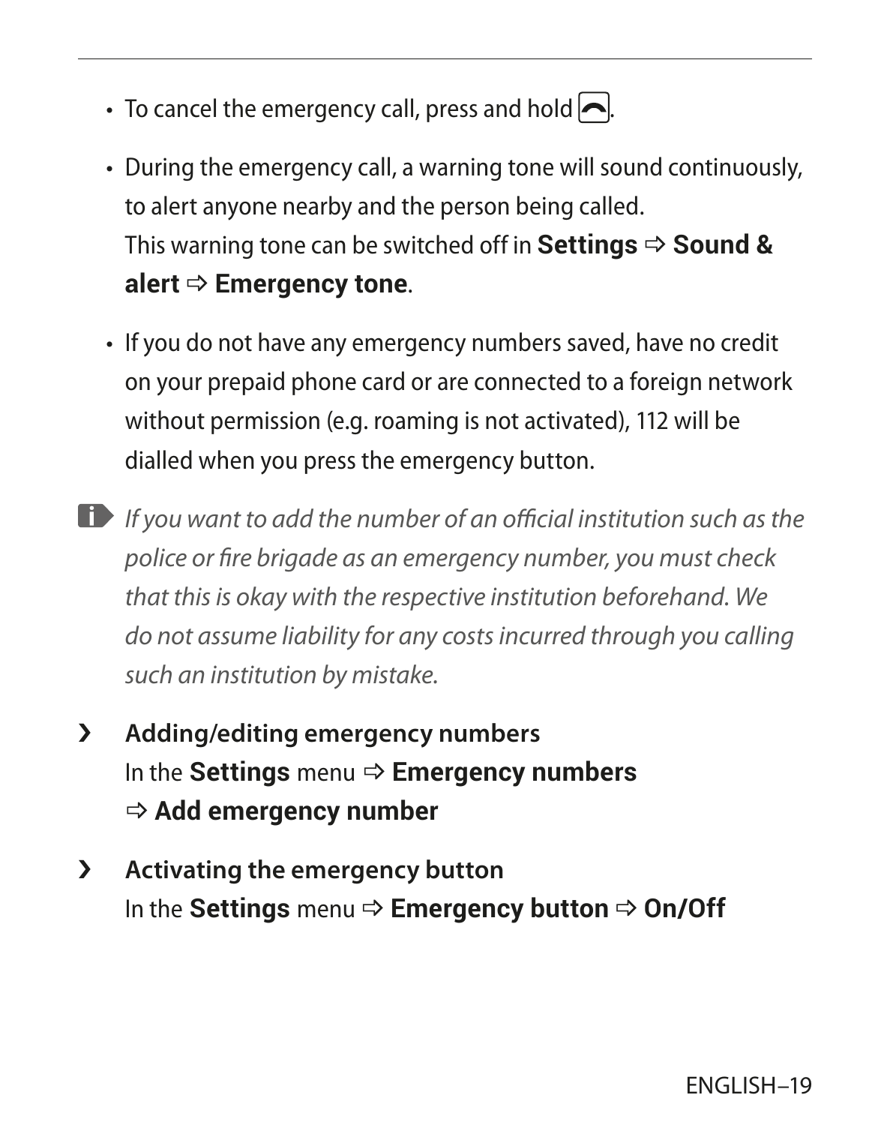- To cancel the emergency call, press and hold  $\Box$ .
- During the emergency call, a warning tone will sound continuously, to alert anyone nearby and the person being called. This warning tone can be switched off in **Settings**  $\Rightarrow$  **Sound &**  $a$ **lert**  $\Rightarrow$  **Emergency tone.**
- If you do not have any emergency numbers saved, have no credit on your prepaid phone card or are connected to a foreign network without permission (e.g. roaming is not activated), 112 will be dialled when you press the emergency button.
- *If you want to add the number of an official institution such as the police or fire brigade as an emergency number, you must check that this is okay with the respective institution beforehand. We do not assume liability for any costs incurred through you calling such an institution by mistake.*
- › **Adding/editing emergency numbers** In the **Settings** menu **→ Emergency numbers**  $\Rightarrow$  **Add emergency number**
- › **Activating the emergency button In the Settings** menu  $\Rightarrow$  **Emergency button**  $\Rightarrow$  **On/Off**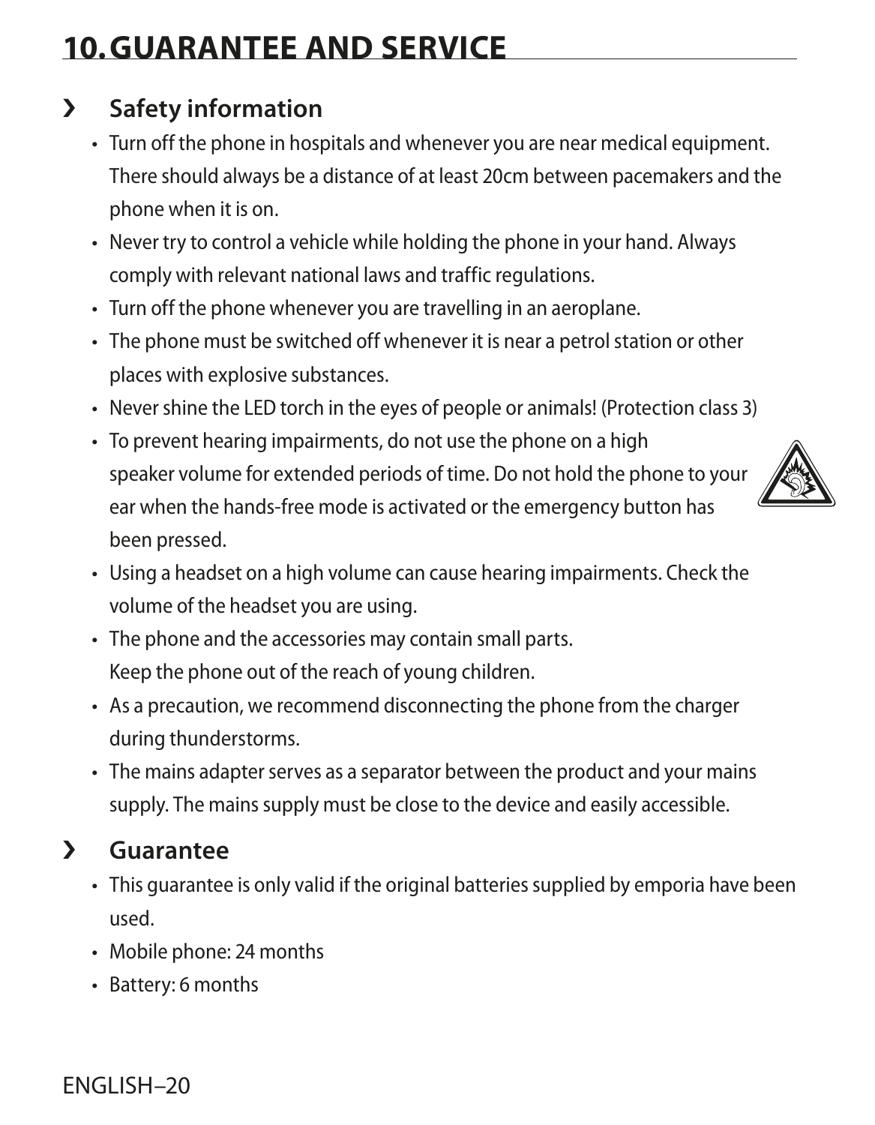# **10.GUARANTEE AND SERVICE**

## › **Safety information**

- Turn off the phone in hospitals and whenever you are near medical equipment. There should always be a distance of at least 20cm between pacemakers and the phone when it is on.
- Never try to control a vehicle while holding the phone in your hand. Always comply with relevant national laws and traffic regulations.
- Turn off the phone whenever you are travelling in an aeroplane.
- The phone must be switched off whenever it is near a petrol station or other places with explosive substances.
- Never shine the LED torch in the eyes of people or animals! (Protection class 3)
- To prevent hearing impairments, do not use the phone on a high speaker volume for extended periods of time. Do not hold the phone to your ear when the hands-free mode is activated or the emergency button has been pressed.



- Using a headset on a high volume can cause hearing impairments. Check the volume of the headset you are using.
- The phone and the accessories may contain small parts. Keep the phone out of the reach of young children.
- As a precaution, we recommend disconnecting the phone from the charger during thunderstorms.
- The mains adapter serves as a separator between the product and your mains supply. The mains supply must be close to the device and easily accessible.

## › **Guarantee**

- This guarantee is only valid if the original batteries supplied by emporia have been used.
- Mobile phone: 24 months
- Battery: 6 months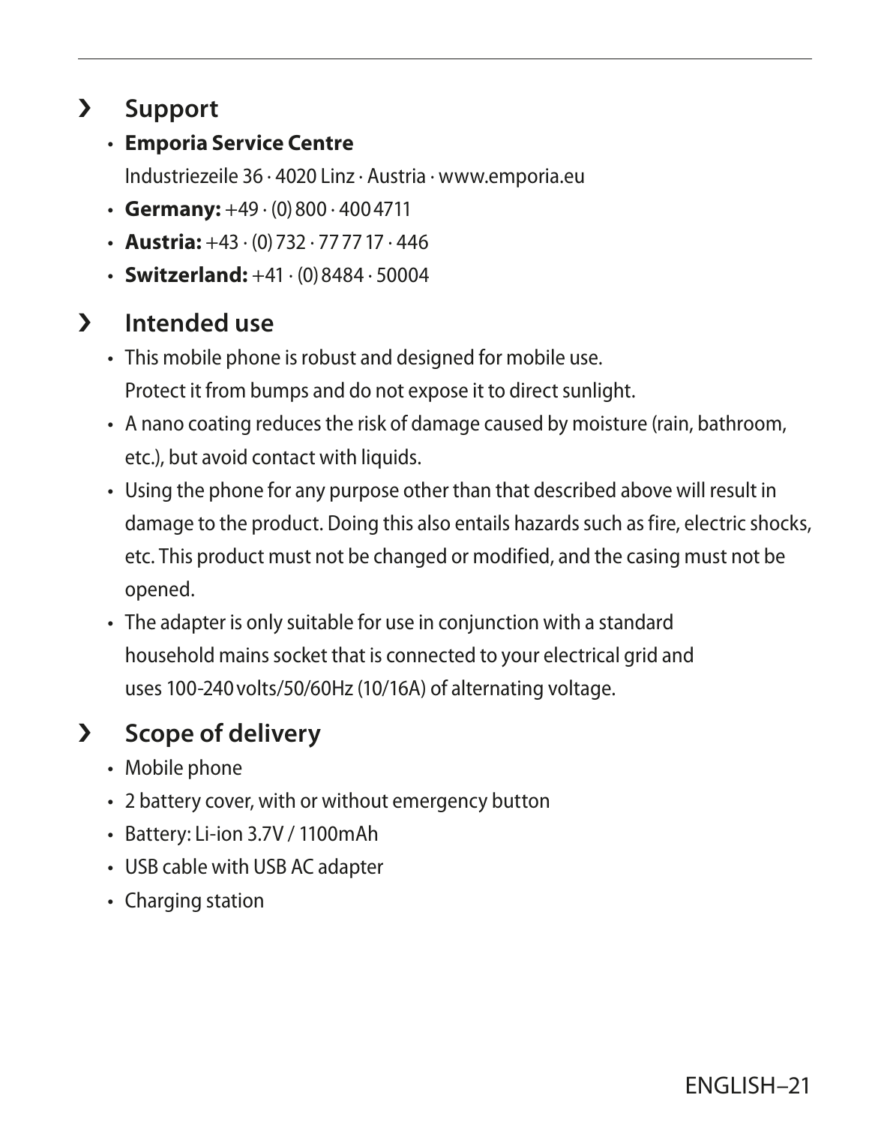## › **Support**

• **Emporia Service Centre**

Industriezeile 36 · 4020 Linz · Austria · www.emporia.eu

- **Germany:**  $+49 \cdot (0)800 \cdot 4004711$
- $\cdot$  **Austria:**  $+43 \cdot (0)$  732  $\cdot$  77 77 17  $\cdot$  446
- **Switzerland:**  $+41 \cdot (0)8484 \cdot 50004$

## › **Intended use**

- This mobile phone is robust and designed for mobile use. Protect it from bumps and do not expose it to direct sunlight.
- A nano coating reduces the risk of damage caused by moisture (rain, bathroom, etc.), but avoid contact with liquids.
- Using the phone for any purpose other than that described above will result in damage to the product. Doing this also entails hazards such as fire, electric shocks, etc. This product must not be changed or modified, and the casing must not be opened.
- The adapter is only suitable for use in conjunction with a standard household mains socket that is connected to your electrical grid and uses 100-240volts/50/60Hz (10/16A) of alternating voltage.

## › **Scope of delivery**

- Mobile phone
- 2 battery cover, with or without emergency button
- Battery: Li-ion 3.7V / 1100mAh
- USB cable with USB AC adapter
- Charging station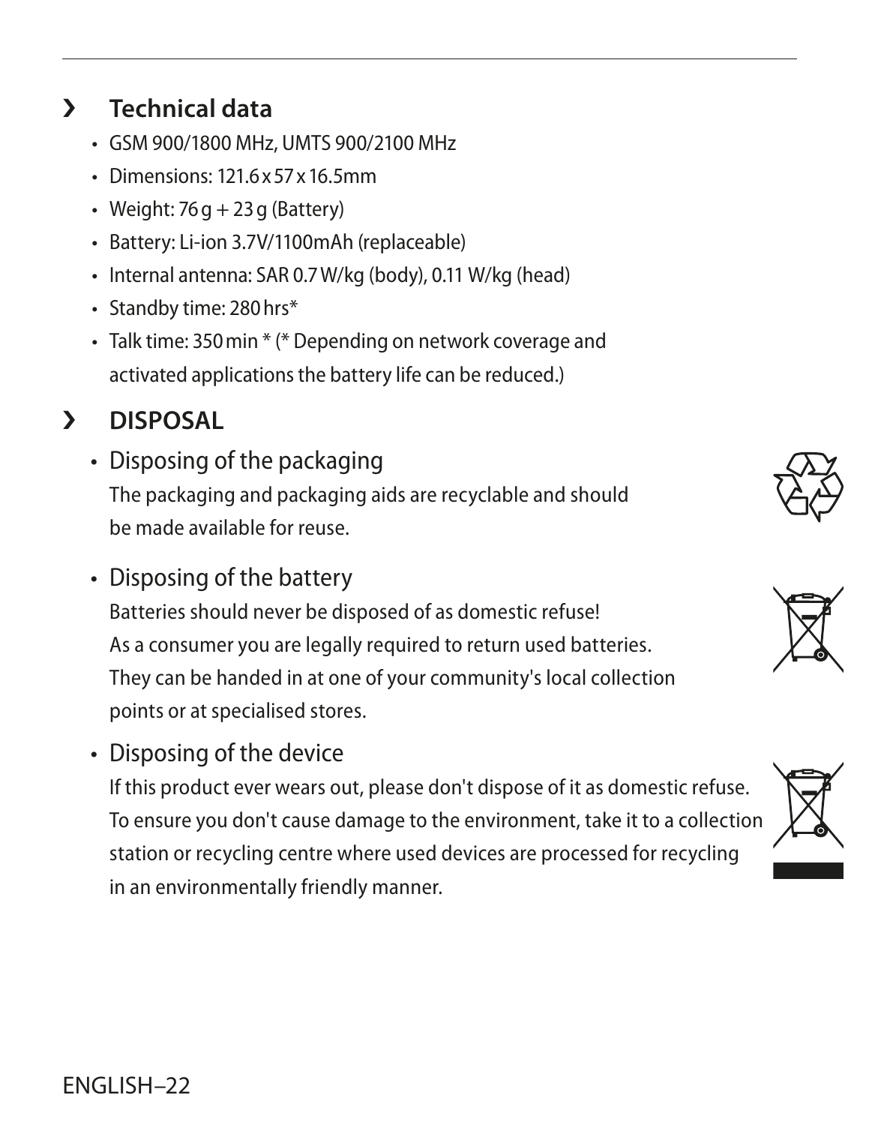## • Weight:  $76q + 23q$  (Battery)

• Battery: Li-ion 3.7V/1100mAh (replaceable)

• GSM 900/1800 MHz, UMTS 900/2100 MHz • Dimensions: 121.6x57x16.5mm

- Internal antenna: SAR 0.7W/kg (body), 0.11 W/kg (head)
- Standby time: 280hrs\*

› **Technical data**

• Talk time: 350min \* (\* Depending on network coverage and activated applications the battery life can be reduced.)

#### › **DISPOSAL**

- Disposing of the packaging The packaging and packaging aids are recyclable and should be made available for reuse.
- Disposing of the battery

Batteries should never be disposed of as domestic refuse! As a consumer you are legally required to return used batteries. They can be handed in at one of your community's local collection points or at specialised stores.

• Disposing of the device

If this product ever wears out, please don't dispose of it as domestic refuse. To ensure you don't cause damage to the environment, take it to a collection station or recycling centre where used devices are processed for recycling in an environmentally friendly manner.





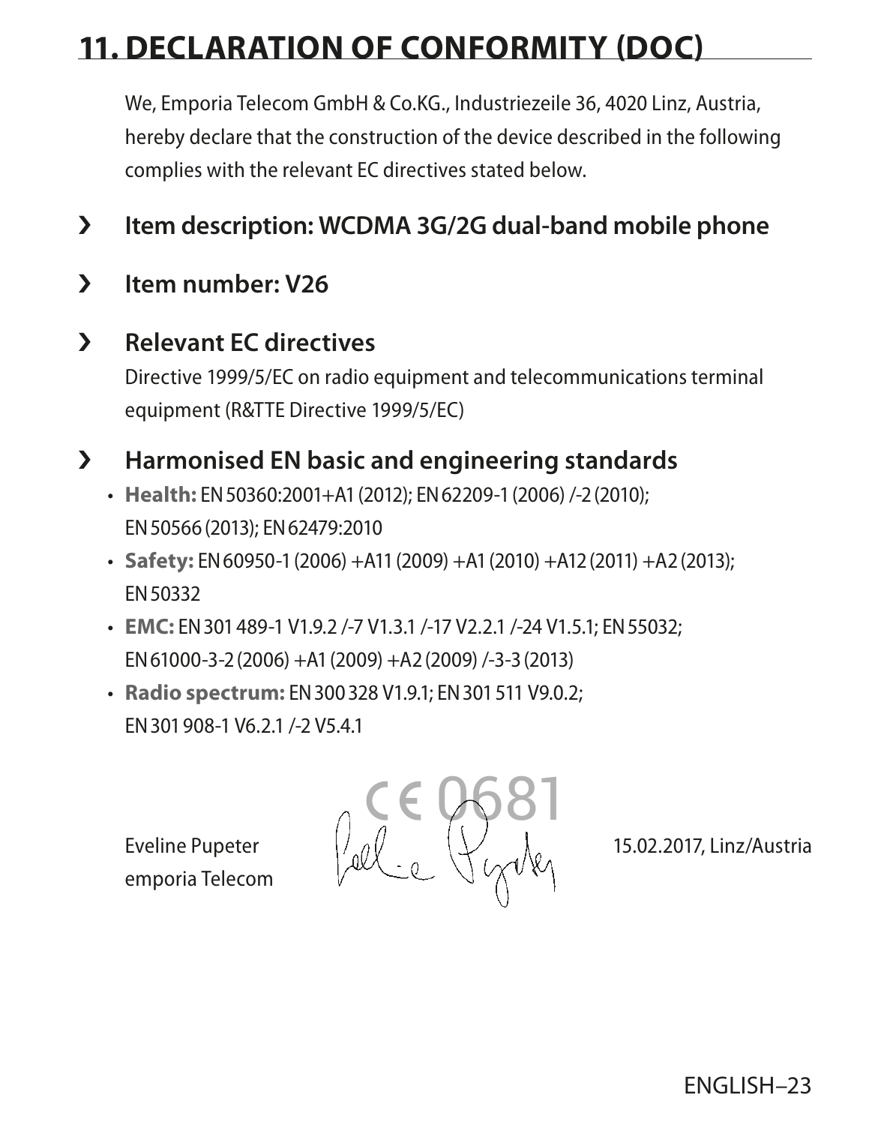# **11. DECLARATION OF CONFORMITY (DOC)**

We, Emporia Telecom GmbH & Co.KG., Industriezeile 36, 4020 Linz, Austria, hereby declare that the construction of the device described in the following complies with the relevant EC directives stated below.

- › **Item description: WCDMA 3G/2G dual-band mobile phone**
- › **Item number: V26**

#### › **Relevant EC directives**

Directive 1999/5/EC on radio equipment and telecommunications terminal equipment (R&TTE Directive 1999/5/EC)

#### › **Harmonised EN basic and engineering standards**

- **Health:** EN50360:2001+A1(2012); EN62209-1(2006) /-2(2010); EN50566(2013); EN62479:2010
- **Safety:** EN60950-1(2006) +A11(2009) +A1(2010) +A12(2011) +A2(2013); EN50332
- **EMC:** EN301489-1 V1.9.2 /-7 V1.3.1 /-17 V2.2.1 /-24 V1.5.1; EN55032; EN61000-3-2(2006) +A1(2009) +A2(2009) /-3-3(2013)
- **Radio spectrum:** EN300328 V1.9.1; EN301511 V9.0.2; EN301908-1 V6.2.1 /-2 V5.4.1

emporia Telecom

 0681 Eveline Pupeter  $\frac{1}{2}$   $\frac{d}{2}$   $\frac{1}{2}$   $\frac{1}{2}$  15.02.2017, Linz/Austria